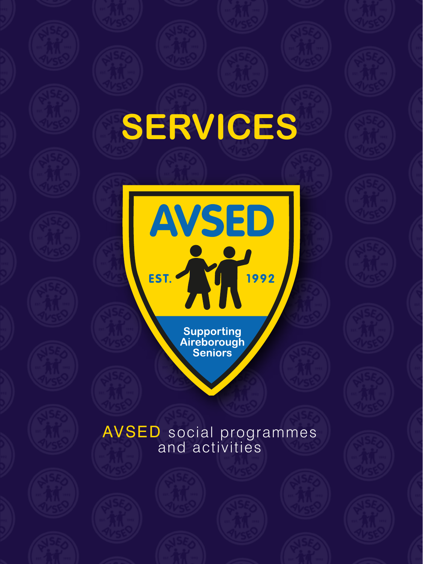## **SERVICES**

EST. Supporting<br>Aireborough<br>Seniors

**AVSED** 

## AVSED social programmes and activities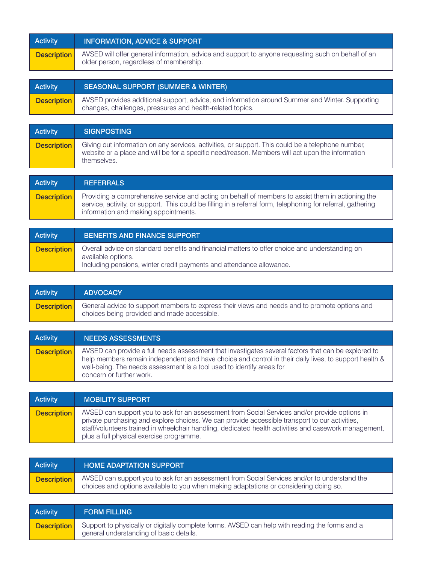| Activity           | <b>INFORMATION, ADVICE &amp; SUPPORT</b>                                                                                                      |
|--------------------|-----------------------------------------------------------------------------------------------------------------------------------------------|
| <b>Description</b> | AVSED will offer general information, advice and support to anyone requesting such on behalf of an<br>older person, regardless of membership. |

| Activity           | <b>SEASONAL SUPPORT (SUMMER &amp; WINTER)</b>                                                                                                                |
|--------------------|--------------------------------------------------------------------------------------------------------------------------------------------------------------|
| <b>Description</b> | AVSED provides additional support, advice, and information around Summer and Winter. Supporting<br>changes, challenges, pressures and health-related topics. |

| <b>Activity</b>    | <b>SIGNPOSTING</b>                                                                                                                                                                                                   |
|--------------------|----------------------------------------------------------------------------------------------------------------------------------------------------------------------------------------------------------------------|
| <b>Description</b> | Giving out information on any services, activities, or support. This could be a telephone number,<br>website or a place and will be for a specific need/reason. Members will act upon the information<br>themselves. |

| Activity           | <b>REFERRALS</b>                                                                                                                                                                                                                                          |
|--------------------|-----------------------------------------------------------------------------------------------------------------------------------------------------------------------------------------------------------------------------------------------------------|
| <b>Description</b> | Providing a comprehensive service and acting on behalf of members to assist them in actioning the<br>service, activity, or support. This could be filling in a referral form, telephoning for referral, gathering<br>information and making appointments. |

| <b>Activity</b>    | BENEFITS AND FINANCE SUPPORT                                                                                                                                                                 |
|--------------------|----------------------------------------------------------------------------------------------------------------------------------------------------------------------------------------------|
| <b>Description</b> | Overall advice on standard benefits and financial matters to offer choice and understanding on<br>available options.<br>Including pensions, winter credit payments and attendance allowance. |

| <b>Activity</b>    | <b>ADVOCACY</b>                                                                                                                              |
|--------------------|----------------------------------------------------------------------------------------------------------------------------------------------|
| <b>Description</b> | General advice to support members to express their views and needs and to promote options and<br>choices being provided and made accessible. |

| <b>Activity</b>    | <b>NEEDS ASSESSMENTS</b>                                                                                                                                                                                                                                                                                          |
|--------------------|-------------------------------------------------------------------------------------------------------------------------------------------------------------------------------------------------------------------------------------------------------------------------------------------------------------------|
| <b>Description</b> | AVSED can provide a full needs assessment that investigates several factors that can be explored to<br>help members remain independent and have choice and control in their daily lives, to support health &<br>well-being. The needs assessment is a tool used to identify areas for<br>concern or further work. |

| Activity           | <b>MOBILITY SUPPORT</b>                                                                                                                                                                                                                                                                                                                              |
|--------------------|------------------------------------------------------------------------------------------------------------------------------------------------------------------------------------------------------------------------------------------------------------------------------------------------------------------------------------------------------|
| <b>Description</b> | AVSED can support you to ask for an assessment from Social Services and/or provide options in<br>private purchasing and explore choices. We can provide accessible transport to our activities,<br>staff/volunteers trained in wheelchair handling, dedicated health activities and casework management,<br>plus a full physical exercise programme. |

| Activity           | <b>HOME ADAPTATION SUPPORT</b>                                                                                                                                                        |
|--------------------|---------------------------------------------------------------------------------------------------------------------------------------------------------------------------------------|
| <b>Description</b> | AVSED can support you to ask for an assessment from Social Services and/or to understand the<br>choices and options available to you when making adaptations or considering doing so. |

| <b>Activity</b>    | <b>FORM FILLING</b>                                                                                                                       |
|--------------------|-------------------------------------------------------------------------------------------------------------------------------------------|
| <b>Description</b> | Support to physically or digitally complete forms. AVSED can help with reading the forms and a<br>general understanding of basic details. |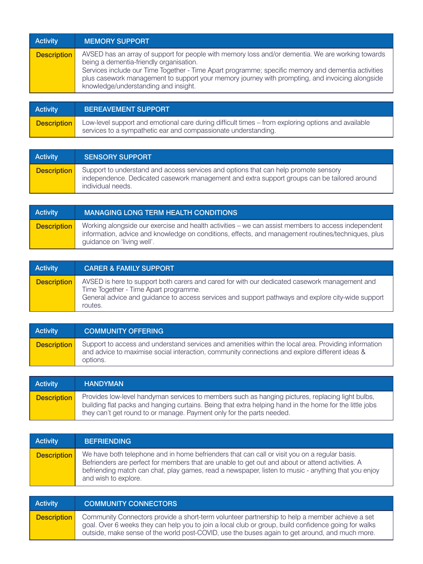| Activity           | <b>MEMORY SUPPORT</b>                                                                                                                                                                                                                                                                                                                                                                         |
|--------------------|-----------------------------------------------------------------------------------------------------------------------------------------------------------------------------------------------------------------------------------------------------------------------------------------------------------------------------------------------------------------------------------------------|
| <b>Description</b> | AVSED has an array of support for people with memory loss and/or dementia. We are working towards<br>being a dementia-friendly organisation.<br>Services include our Time Together - Time Apart programme; specific memory and dementia activities<br>plus casework management to support your memory journey with prompting, and invoicing alongside<br>knowledge/understanding and insight. |

| <b>Activity</b>    | <b>BEREAVEMENT SUPPORT</b>                                                                                                                                           |
|--------------------|----------------------------------------------------------------------------------------------------------------------------------------------------------------------|
| <b>Description</b> | Low-level support and emotional care during difficult times – from exploring options and available<br>services to a sympathetic ear and compassionate understanding. |

| <b>Activity</b>    | <b>SENSORY SUPPORT</b>                                                                                                                                                                                  |
|--------------------|---------------------------------------------------------------------------------------------------------------------------------------------------------------------------------------------------------|
| <b>Description</b> | Support to understand and access services and options that can help promote sensory<br>independence. Dedicated casework management and extra support groups can be tailored around<br>individual needs. |

| <b>Activity</b>    | MANAGING LONG TERM HEALTH CONDITIONS                                                                                                                                                                                                   |
|--------------------|----------------------------------------------------------------------------------------------------------------------------------------------------------------------------------------------------------------------------------------|
| <b>Description</b> | Working alongside our exercise and health activities – we can assist members to access independent<br>information, advice and knowledge on conditions, effects, and management routines/techniques, plus<br>quidance on 'living well'. |

| <b>Activity</b>    | <b>CARER &amp; FAMILY SUPPORT</b>                                                                                                                                                                                                                      |
|--------------------|--------------------------------------------------------------------------------------------------------------------------------------------------------------------------------------------------------------------------------------------------------|
| <b>Description</b> | AVSED is here to support both carers and cared for with our dedicated casework management and<br>Time Together - Time Apart programme.<br>General advice and quidance to access services and support pathways and explore city-wide support<br>routes. |

| <b>Activity</b>    | <b>COMMUNITY OFFERING</b>                                                                                                                                                                                          |
|--------------------|--------------------------------------------------------------------------------------------------------------------------------------------------------------------------------------------------------------------|
| <b>Description</b> | Support to access and understand services and amenities within the local area. Providing information<br>and advice to maximise social interaction, community connections and explore different ideas &<br>options. |

| <b>Activity</b>    | <b>HANDYMAN</b>                                                                                                                                                                                                                                                                      |
|--------------------|--------------------------------------------------------------------------------------------------------------------------------------------------------------------------------------------------------------------------------------------------------------------------------------|
| <b>Description</b> | Provides low-level handyman services to members such as hanging pictures, replacing light bulbs,<br>building flat packs and hanging curtains. Being that extra helping hand in the home for the little jobs<br>they can't get round to or manage. Payment only for the parts needed. |

| Activity           | <b>BEFRIENDING</b>                                                                                                                                                                                                                                                                                                               |
|--------------------|----------------------------------------------------------------------------------------------------------------------------------------------------------------------------------------------------------------------------------------------------------------------------------------------------------------------------------|
| <b>Description</b> | We have both telephone and in home befrienders that can call or visit you on a regular basis.<br>Befrienders are perfect for members that are unable to get out and about or attend activities. A<br>befriending match can chat, play games, read a newspaper, listen to music - anything that you enjoy<br>and wish to explore. |

| <b>Activity</b>    | <b>COMMUNITY CONNECTORS</b>                                                                                                                                                                                                                                                                              |
|--------------------|----------------------------------------------------------------------------------------------------------------------------------------------------------------------------------------------------------------------------------------------------------------------------------------------------------|
| <b>Description</b> | Community Connectors provide a short-term volunteer partnership to help a member achieve a set<br>goal. Over 6 weeks they can help you to join a local club or group, build confidence going for walks<br>outside, make sense of the world post-COVID, use the buses again to get around, and much more. |